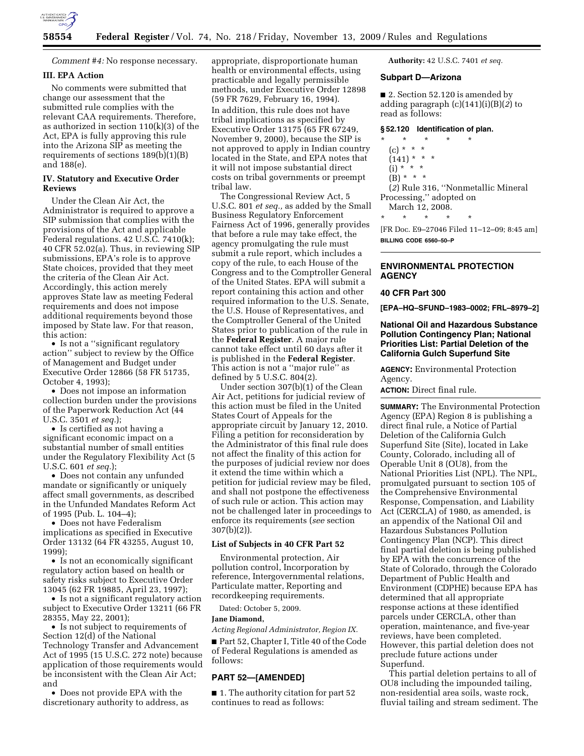

*Comment #4:* No response necessary.

## **III. EPA Action**

No comments were submitted that change our assessment that the submitted rule complies with the relevant CAA requirements. Therefore, as authorized in section 110(k)(3) of the Act, EPA is fully approving this rule into the Arizona SIP as meeting the requirements of sections 189(b)(1)(B) and 188(e).

## **IV. Statutory and Executive Order Reviews**

Under the Clean Air Act, the Administrator is required to approve a SIP submission that complies with the provisions of the Act and applicable Federal regulations. 42 U.S.C. 7410(k); 40 CFR 52.02(a). Thus, in reviewing SIP submissions, EPA's role is to approve State choices, provided that they meet the criteria of the Clean Air Act. Accordingly, this action merely approves State law as meeting Federal requirements and does not impose additional requirements beyond those imposed by State law. For that reason, this action:

• Is not a ''significant regulatory action'' subject to review by the Office of Management and Budget under Executive Order 12866 (58 FR 51735, October 4, 1993);

• Does not impose an information collection burden under the provisions of the Paperwork Reduction Act (44 U.S.C. 3501 *et seq.*);

• Is certified as not having a significant economic impact on a substantial number of small entities under the Regulatory Flexibility Act (5 U.S.C. 601 *et seq.*);

• Does not contain any unfunded mandate or significantly or uniquely affect small governments, as described in the Unfunded Mandates Reform Act of 1995 (Pub. L. 104–4);

• Does not have Federalism implications as specified in Executive Order 13132 (64 FR 43255, August 10, 1999);

• Is not an economically significant regulatory action based on health or safety risks subject to Executive Order 13045 (62 FR 19885, April 23, 1997);

• Is not a significant regulatory action subject to Executive Order 13211 (66 FR 28355, May 22, 2001);

• Is not subject to requirements of Section 12(d) of the National Technology Transfer and Advancement Act of 1995 (15 U.S.C. 272 note) because application of those requirements would be inconsistent with the Clean Air Act; and

• Does not provide EPA with the discretionary authority to address, as

appropriate, disproportionate human health or environmental effects, using practicable and legally permissible methods, under Executive Order 12898 (59 FR 7629, February 16, 1994). In addition, this rule does not have tribal implications as specified by Executive Order 13175 (65 FR 67249, November 9, 2000), because the SIP is not approved to apply in Indian country located in the State, and EPA notes that it will not impose substantial direct costs on tribal governments or preempt tribal law.

The Congressional Review Act, 5 U.S.C. 801 *et seq.,* as added by the Small Business Regulatory Enforcement Fairness Act of 1996, generally provides that before a rule may take effect, the agency promulgating the rule must submit a rule report, which includes a copy of the rule, to each House of the Congress and to the Comptroller General of the United States. EPA will submit a report containing this action and other required information to the U.S. Senate, the U.S. House of Representatives, and the Comptroller General of the United States prior to publication of the rule in the **Federal Register**. A major rule cannot take effect until 60 days after it is published in the **Federal Register**. This action is not a ''major rule'' as defined by 5 U.S.C. 804(2).

Under section 307(b)(1) of the Clean Air Act, petitions for judicial review of this action must be filed in the United States Court of Appeals for the appropriate circuit by January 12, 2010. Filing a petition for reconsideration by the Administrator of this final rule does not affect the finality of this action for the purposes of judicial review nor does it extend the time within which a petition for judicial review may be filed, and shall not postpone the effectiveness of such rule or action. This action may not be challenged later in proceedings to enforce its requirements (*see* section 307(b)(2)).

## **List of Subjects in 40 CFR Part 52**

Environmental protection, Air pollution control, Incorporation by reference, Intergovernmental relations, Particulate matter, Reporting and recordkeeping requirements.

Dated: October 5, 2009.

## **Jane Diamond,**

*Acting Regional Administrator, Region IX.* 

■ Part 52, Chapter I, Title 40 of the Code of Federal Regulations is amended as follows:

# **PART 52—[AMENDED]**

■ 1. The authority citation for part 52 continues to read as follows:

**Authority:** 42 U.S.C. 7401 *et seq.* 

## **Subpart D—Arizona**

■ 2. Section 52.120 is amended by adding paragraph (c)(141)(i)(B)(*2*) to read as follows:

# **§ 52.120 Identification of plan.**

- \* \* \* \* \*
	- (c) \* \* \*
	- $(141) * * * *$
	- $(i) * * * *$  $(B) * * * *$
	-

(*2*) Rule 316, ''Nonmetallic Mineral Processing,'' adopted on March 12, 2008.

\* \* \* \* \*

[FR Doc. E9–27046 Filed 11–12–09; 8:45 am] **BILLING CODE 6560–50–P** 

## **ENVIRONMENTAL PROTECTION AGENCY**

#### **40 CFR Part 300**

**[EPA–HQ–SFUND–1983–0002; FRL–8979–2]** 

## **National Oil and Hazardous Substance Pollution Contingency Plan; National Priorities List: Partial Deletion of the California Gulch Superfund Site**

**AGENCY:** Environmental Protection Agency.

**ACTION:** Direct final rule.

**SUMMARY:** The Environmental Protection Agency (EPA) Region 8 is publishing a direct final rule, a Notice of Partial Deletion of the California Gulch Superfund Site (Site), located in Lake County, Colorado, including all of Operable Unit 8 (OU8), from the National Priorities List (NPL). The NPL, promulgated pursuant to section 105 of the Comprehensive Environmental Response, Compensation, and Liability Act (CERCLA) of 1980, as amended, is an appendix of the National Oil and Hazardous Substances Pollution Contingency Plan (NCP). This direct final partial deletion is being published by EPA with the concurrence of the State of Colorado, through the Colorado Department of Public Health and Environment (CDPHE) because EPA has determined that all appropriate response actions at these identified parcels under CERCLA, other than operation, maintenance, and five-year reviews, have been completed. However, this partial deletion does not preclude future actions under Superfund.

This partial deletion pertains to all of OU8 including the impounded tailing, non-residential area soils, waste rock, fluvial tailing and stream sediment. The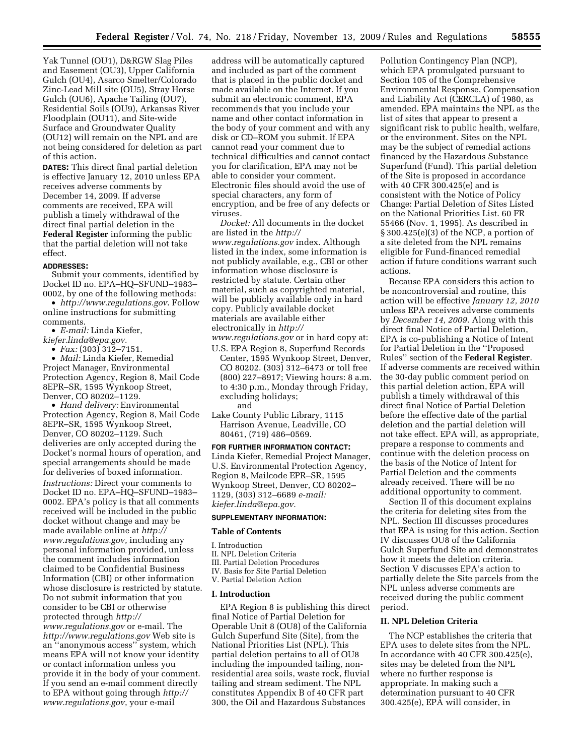Yak Tunnel (OU1), D&RGW Slag Piles and Easement (OU3), Upper California Gulch (OU4), Asarco Smelter/Colorado Zinc-Lead Mill site (OU5), Stray Horse Gulch (OU6), Apache Tailing (OU7), Residential Soils (OU9), Arkansas River Floodplain (OU11), and Site-wide Surface and Groundwater Quality (OU12) will remain on the NPL and are not being considered for deletion as part of this action.

**DATES:** This direct final partial deletion is effective January 12, 2010 unless EPA receives adverse comments by December 14, 2009. If adverse comments are received, EPA will publish a timely withdrawal of the direct final partial deletion in the **Federal Register** informing the public that the partial deletion will not take effect.

### **ADDRESSES:**

Submit your comments, identified by Docket ID no. EPA–HQ–SFUND–1983– 0002, by one of the following methods:

• *http://www.regulations.gov*. Follow online instructions for submitting comments.

- *E-mail:* Linda Kiefer,
- *kiefer.linda@epa.gov.* 
	- *Fax:* (303) 312–7151.

• *Mail:* Linda Kiefer, Remedial Project Manager, Environmental Protection Agency, Region 8, Mail Code 8EPR–SR, 1595 Wynkoop Street, Denver, CO 80202–1129.

• *Hand delivery:* Environmental Protection Agency, Region 8, Mail Code 8EPR–SR, 1595 Wynkoop Street, Denver, CO 80202–1129. Such deliveries are only accepted during the Docket's normal hours of operation, and special arrangements should be made for deliveries of boxed information.

*Instructions:* Direct your comments to Docket ID no. EPA–HQ–SFUND–1983– 0002. EPA's policy is that all comments received will be included in the public docket without change and may be made available online at *http:// www.regulations.gov*, including any personal information provided, unless the comment includes information claimed to be Confidential Business Information (CBI) or other information whose disclosure is restricted by statute. Do not submit information that you consider to be CBI or otherwise protected through *http:// www.regulations.gov* or e-mail. The *http://www.regulations.gov* Web site is an ''anonymous access'' system, which means EPA will not know your identity or contact information unless you provide it in the body of your comment. If you send an e-mail comment directly to EPA without going through *http:// www.regulations.gov*, your e-mail

address will be automatically captured and included as part of the comment that is placed in the public docket and made available on the Internet. If you submit an electronic comment, EPA recommends that you include your name and other contact information in the body of your comment and with any disk or CD–ROM you submit. If EPA cannot read your comment due to technical difficulties and cannot contact you for clarification, EPA may not be able to consider your comment. Electronic files should avoid the use of special characters, any form of encryption, and be free of any defects or viruses.

*Docket:* All documents in the docket are listed in the *http:// www.regulations.gov* index. Although listed in the index, some information is not publicly available, e.g., CBI or other information whose disclosure is restricted by statute. Certain other material, such as copyrighted material, will be publicly available only in hard copy. Publicly available docket materials are available either electronically in *http:// www.regulations.gov* or in hard copy at:

U.S. EPA Region 8, Superfund Records

- Center, 1595 Wynkoop Street, Denver, CO 80202. (303) 312–6473 or toll free (800) 227–8917; Viewing hours: 8 a.m. to 4:30 p.m., Monday through Friday, excluding holidays; and
- Lake County Public Library, 1115 Harrison Avenue, Leadville, CO 80461, (719) 486–0569.

**FOR FURTHER INFORMATION CONTACT:**  Linda Kiefer, Remedial Project Manager, U.S. Environmental Protection Agency, Region 8, Mailcode EPR–SR, 1595 Wynkoop Street, Denver, CO 80202– 1129, (303) 312–6689 *e-mail: kiefer.linda@epa.gov.* 

#### **SUPPLEMENTARY INFORMATION:**

#### **Table of Contents**

- I. Introduction
- II. NPL Deletion Criteria
- III. Partial Deletion Procedures
- IV. Basis for Site Partial Deletion
- V. Partial Deletion Action

## **I. Introduction**

EPA Region 8 is publishing this direct final Notice of Partial Deletion for Operable Unit 8 (OU8) of the California Gulch Superfund Site (Site), from the National Priorities List (NPL). This partial deletion pertains to all of OU8 including the impounded tailing, nonresidential area soils, waste rock, fluvial tailing and stream sediment. The NPL constitutes Appendix B of 40 CFR part 300, the Oil and Hazardous Substances

Pollution Contingency Plan (NCP), which EPA promulgated pursuant to Section 105 of the Comprehensive Environmental Response, Compensation and Liability Act (CERCLA) of 1980, as amended. EPA maintains the NPL as the list of sites that appear to present a significant risk to public health, welfare, or the environment. Sites on the NPL may be the subject of remedial actions financed by the Hazardous Substance Superfund (Fund). This partial deletion of the Site is proposed in accordance with 40 CFR 300.425(e) and is consistent with the Notice of Policy Change: Partial Deletion of Sites Listed on the National Priorities List. 60 FR 55466 (Nov. 1, 1995). As described in § 300.425(e)(3) of the NCP, a portion of a site deleted from the NPL remains eligible for Fund-financed remedial action if future conditions warrant such actions.

Because EPA considers this action to be noncontroversial and routine, this action will be effective *January 12, 2010*  unless EPA receives adverse comments by *December 14, 2009.* Along with this direct final Notice of Partial Deletion, EPA is co-publishing a Notice of Intent for Partial Deletion in the ''Proposed Rules'' section of the **Federal Register**. If adverse comments are received within the 30-day public comment period on this partial deletion action, EPA will publish a timely withdrawal of this direct final Notice of Partial Deletion before the effective date of the partial deletion and the partial deletion will not take effect. EPA will, as appropriate, prepare a response to comments and continue with the deletion process on the basis of the Notice of Intent for Partial Deletion and the comments already received. There will be no additional opportunity to comment.

Section II of this document explains the criteria for deleting sites from the NPL. Section III discusses procedures that EPA is using for this action. Section IV discusses OU8 of the California Gulch Superfund Site and demonstrates how it meets the deletion criteria. Section V discusses EPA's action to partially delete the Site parcels from the NPL unless adverse comments are received during the public comment period.

## **II. NPL Deletion Criteria**

The NCP establishes the criteria that EPA uses to delete sites from the NPL. In accordance with 40 CFR 300.425(e), sites may be deleted from the NPL where no further response is appropriate. In making such a determination pursuant to 40 CFR 300.425(e), EPA will consider, in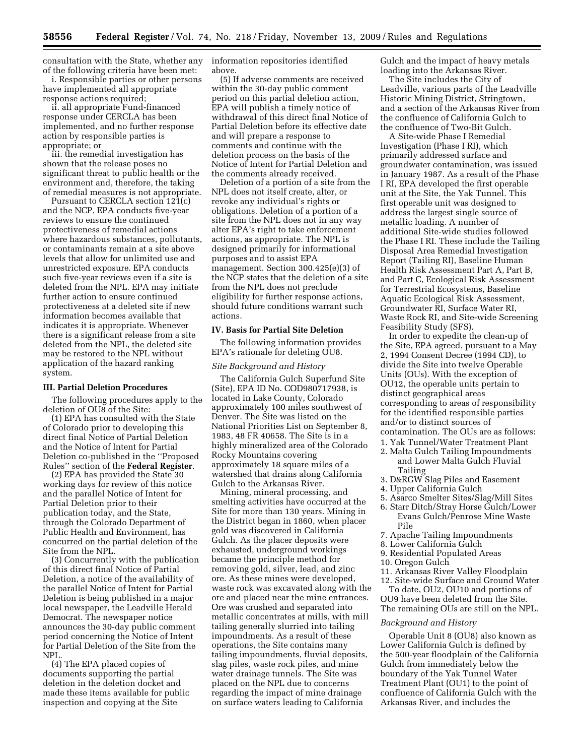consultation with the State, whether any of the following criteria have been met:

i. Responsible parties or other persons have implemented all appropriate response actions required;

ii. all appropriate Fund-financed response under CERCLA has been implemented, and no further response action by responsible parties is appropriate; or

iii. the remedial investigation has shown that the release poses no significant threat to public health or the environment and, therefore, the taking of remedial measures is not appropriate.

Pursuant to CERCLA section 121(c) and the NCP, EPA conducts five-year reviews to ensure the continued protectiveness of remedial actions where hazardous substances, pollutants, or contaminants remain at a site above levels that allow for unlimited use and unrestricted exposure. EPA conducts such five-year reviews even if a site is deleted from the NPL. EPA may initiate further action to ensure continued protectiveness at a deleted site if new information becomes available that indicates it is appropriate. Whenever there is a significant release from a site deleted from the NPL, the deleted site may be restored to the NPL without application of the hazard ranking system.

### **III. Partial Deletion Procedures**

The following procedures apply to the deletion of OU8 of the Site:

(1) EPA has consulted with the State of Colorado prior to developing this direct final Notice of Partial Deletion and the Notice of Intent for Partial Deletion co-published in the ''Proposed Rules'' section of the **Federal Register**.

(2) EPA has provided the State 30 working days for review of this notice and the parallel Notice of Intent for Partial Deletion prior to their publication today, and the State, through the Colorado Department of Public Health and Environment, has concurred on the partial deletion of the Site from the NPL.

(3) Concurrently with the publication of this direct final Notice of Partial Deletion, a notice of the availability of the parallel Notice of Intent for Partial Deletion is being published in a major local newspaper, the Leadville Herald Democrat. The newspaper notice announces the 30-day public comment period concerning the Notice of Intent for Partial Deletion of the Site from the NPL.

(4) The EPA placed copies of documents supporting the partial deletion in the deletion docket and made these items available for public inspection and copying at the Site

information repositories identified above.

(5) If adverse comments are received within the 30-day public comment period on this partial deletion action, EPA will publish a timely notice of withdrawal of this direct final Notice of Partial Deletion before its effective date and will prepare a response to comments and continue with the deletion process on the basis of the Notice of Intent for Partial Deletion and the comments already received.

Deletion of a portion of a site from the NPL does not itself create, alter, or revoke any individual's rights or obligations. Deletion of a portion of a site from the NPL does not in any way alter EPA's right to take enforcement actions, as appropriate. The NPL is designed primarily for informational purposes and to assist EPA management. Section 300.425(e)(3) of the NCP states that the deletion of a site from the NPL does not preclude eligibility for further response actions, should future conditions warrant such actions.

## **IV. Basis for Partial Site Deletion**

The following information provides EPA's rationale for deleting OU8.

## *Site Background and History*

The California Gulch Superfund Site (Site), EPA ID No. COD980717938, is located in Lake County, Colorado approximately 100 miles southwest of Denver. The Site was listed on the National Priorities List on September 8, 1983, 48 FR 40658. The Site is in a highly mineralized area of the Colorado Rocky Mountains covering approximately 18 square miles of a watershed that drains along California Gulch to the Arkansas River.

Mining, mineral processing, and smelting activities have occurred at the Site for more than 130 years. Mining in the District began in 1860, when placer gold was discovered in California Gulch. As the placer deposits were exhausted, underground workings became the principle method for removing gold, silver, lead, and zinc ore. As these mines were developed, waste rock was excavated along with the ore and placed near the mine entrances. Ore was crushed and separated into metallic concentrates at mills, with mill tailing generally slurried into tailing impoundments. As a result of these operations, the Site contains many tailing impoundments, fluvial deposits, slag piles, waste rock piles, and mine water drainage tunnels. The Site was placed on the NPL due to concerns regarding the impact of mine drainage on surface waters leading to California

Gulch and the impact of heavy metals loading into the Arkansas River.

The Site includes the City of Leadville, various parts of the Leadville Historic Mining District, Stringtown, and a section of the Arkansas River from the confluence of California Gulch to the confluence of Two-Bit Gulch.

A Site-wide Phase I Remedial Investigation (Phase I RI), which primarily addressed surface and groundwater contamination, was issued in January 1987. As a result of the Phase I RI, EPA developed the first operable unit at the Site, the Yak Tunnel. This first operable unit was designed to address the largest single source of metallic loading. A number of additional Site-wide studies followed the Phase I RI. These include the Tailing Disposal Area Remedial Investigation Report (Tailing RI), Baseline Human Health Risk Assessment Part A, Part B, and Part C, Ecological Risk Assessment for Terrestrial Ecosystems, Baseline Aquatic Ecological Risk Assessment, Groundwater RI, Surface Water RI, Waste Rock RI, and Site-wide Screening Feasibility Study (SFS).

In order to expedite the clean-up of the Site, EPA agreed, pursuant to a May 2, 1994 Consent Decree (1994 CD), to divide the Site into twelve Operable Units (OUs). With the exception of OU12, the operable units pertain to distinct geographical areas corresponding to areas of responsibility for the identified responsible parties and/or to distinct sources of contamination. The OUs are as follows:

- 1. Yak Tunnel/Water Treatment Plant 2. Malta Gulch Tailing Impoundments
	- and Lower Malta Gulch Fluvial Tailing
- 3. D&RGW Slag Piles and Easement
- 4. Upper California Gulch
- 5. Asarco Smelter Sites/Slag/Mill Sites
- 6. Starr Ditch/Stray Horse Gulch/Lower Evans Gulch/Penrose Mine Waste Pile
- 7. Apache Tailing Impoundments
- 8. Lower California Gulch
- 9. Residential Populated Areas
- 10. Oregon Gulch
- 11. Arkansas River Valley Floodplain
- 12. Site-wide Surface and Ground Water To date, OU2, OU10 and portions of

OU9 have been deleted from the Site. The remaining OUs are still on the NPL.

### *Background and History*

Operable Unit 8 (OU8) also known as Lower California Gulch is defined by the 500-year floodplain of the California Gulch from immediately below the boundary of the Yak Tunnel Water Treatment Plant (OU1) to the point of confluence of California Gulch with the Arkansas River, and includes the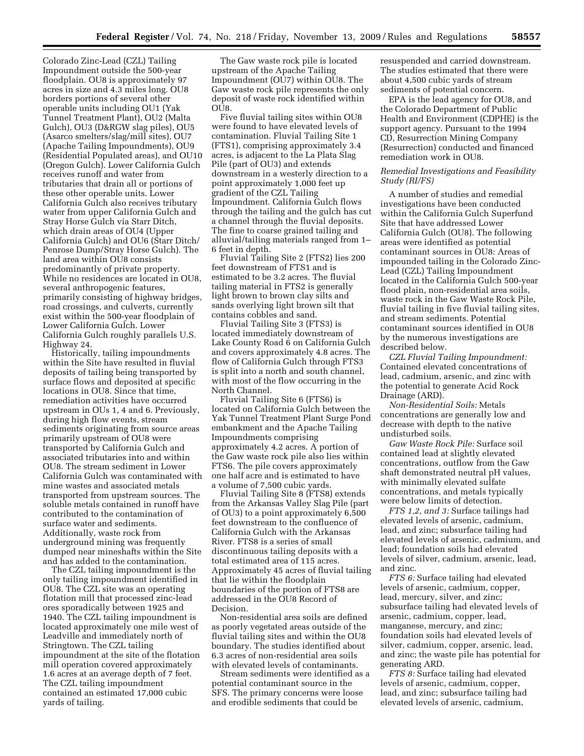Colorado Zinc-Lead (CZL) Tailing Impoundment outside the 500-year floodplain. OU8 is approximately 97 acres in size and 4.3 miles long. OU8 borders portions of several other operable units including OU1 (Yak Tunnel Treatment Plant), OU2 (Malta Gulch), OU3 (D&RGW slag piles), OU5 (Asarco smelters/slag/mill sites), OU7 (Apache Tailing Impoundments), OU9 (Residential Populated areas), and OU10 (Oregon Gulch). Lower California Gulch receives runoff and water from tributaries that drain all or portions of these other operable units. Lower California Gulch also receives tributary water from upper California Gulch and Stray Horse Gulch via Starr Ditch, which drain areas of OU4 (Upper California Gulch) and OU6 (Starr Ditch/ Penrose Dump/Stray Horse Gulch). The land area within OU8 consists predominantly of private property. While no residences are located in OU8, several anthropogenic features, primarily consisting of highway bridges, road crossings, and culverts, currently exist within the 500-year floodplain of Lower California Gulch. Lower California Gulch roughly parallels U.S. Highway 24.

Historically, tailing impoundments within the Site have resulted in fluvial deposits of tailing being transported by surface flows and deposited at specific locations in OU8. Since that time, remediation activities have occurred upstream in OUs 1, 4 and 6. Previously, during high flow events, stream sediments originating from source areas primarily upstream of OU8 were transported by California Gulch and associated tributaries into and within OU8. The stream sediment in Lower California Gulch was contaminated with mine wastes and associated metals transported from upstream sources. The soluble metals contained in runoff have contributed to the contamination of surface water and sediments. Additionally, waste rock from underground mining was frequently dumped near mineshafts within the Site and has added to the contamination.

The CZL tailing impoundment is the only tailing impoundment identified in OU8. The CZL site was an operating flotation mill that processed zinc-lead ores sporadically between 1925 and 1940. The CZL tailing impoundment is located approximately one mile west of Leadville and immediately north of Stringtown. The CZL tailing impoundment at the site of the flotation mill operation covered approximately 1.6 acres at an average depth of 7 feet. The CZL tailing impoundment contained an estimated 17,000 cubic yards of tailing.

The Gaw waste rock pile is located upstream of the Apache Tailing Impoundment (OU7) within OU8. The Gaw waste rock pile represents the only deposit of waste rock identified within  $\overline{OUB}$ 

Five fluvial tailing sites within OU8 were found to have elevated levels of contamination. Fluvial Tailing Site 1 (FTS1), comprising approximately 3.4 acres, is adjacent to the La Plata Slag Pile (part of OU3) and extends downstream in a westerly direction to a point approximately 1,000 feet up gradient of the CZL Tailing Impoundment. California Gulch flows through the tailing and the gulch has cut a channel through the fluvial deposits. The fine to coarse grained tailing and alluvial/tailing materials ranged from 1– 6 feet in depth.

Fluvial Tailing Site 2 (FTS2) lies 200 feet downstream of FTS1 and is estimated to be 3.2 acres. The fluvial tailing material in FTS2 is generally light brown to brown clay silts and sands overlying light brown silt that contains cobbles and sand.

Fluvial Tailing Site 3 (FTS3) is located immediately downstream of Lake County Road 6 on California Gulch and covers approximately 4.8 acres. The flow of California Gulch through FTS3 is split into a north and south channel, with most of the flow occurring in the North Channel.

Fluvial Tailing Site 6 (FTS6) is located on California Gulch between the Yak Tunnel Treatment Plant Surge Pond embankment and the Apache Tailing Impoundments comprising approximately 4.2 acres. A portion of the Gaw waste rock pile also lies within FTS6. The pile covers approximately one half acre and is estimated to have a volume of 7,500 cubic yards.

Fluvial Tailing Site 8 (FTS8) extends from the Arkansas Valley Slag Pile (part of OU3) to a point approximately 6,500 feet downstream to the confluence of California Gulch with the Arkansas River. FTS8 is a series of small discontinuous tailing deposits with a total estimated area of 115 acres. Approximately 45 acres of fluvial tailing that lie within the floodplain boundaries of the portion of FTS8 are addressed in the OU8 Record of Decision.

Non-residential area soils are defined as poorly vegetated areas outside of the fluvial tailing sites and within the OU8 boundary. The studies identified about 6.3 acres of non-residential area soils with elevated levels of contaminants.

Stream sediments were identified as a potential contaminant source in the SFS. The primary concerns were loose and erodible sediments that could be

resuspended and carried downstream. The studies estimated that there were about 4,500 cubic yards of stream sediments of potential concern.

EPA is the lead agency for OU8, and the Colorado Department of Public Health and Environment (CDPHE) is the support agency. Pursuant to the 1994 CD, Resurrection Mining Company (Resurrection) conducted and financed remediation work in OU8.

## *Remedial Investigations and Feasibility Study (RI/FS)*

A number of studies and remedial investigations have been conducted within the California Gulch Superfund Site that have addressed Lower California Gulch (OU8). The following areas were identified as potential contaminant sources in OU8: Areas of impounded tailing in the Colorado Zinc-Lead (CZL) Tailing Impoundment located in the California Gulch 500-year flood plain, non-residential area soils, waste rock in the Gaw Waste Rock Pile, fluvial tailing in five fluvial tailing sites, and stream sediments. Potential contaminant sources identified in OU8 by the numerous investigations are described below.

*CZL Fluvial Tailing Impoundment:*  Contained elevated concentrations of lead, cadmium, arsenic, and zinc with the potential to generate Acid Rock Drainage (ARD).

*Non-Residential Soils:* Metals concentrations are generally low and decrease with depth to the native undisturbed soils.

*Gaw Waste Rock Pile:* Surface soil contained lead at slightly elevated concentrations, outflow from the Gaw shaft demonstrated neutral pH values, with minimally elevated sulfate concentrations, and metals typically were below limits of detection.

*FTS 1,2, and 3:* Surface tailings had elevated levels of arsenic, cadmium, lead, and zinc; subsurface tailing had elevated levels of arsenic, cadmium, and lead; foundation soils had elevated levels of silver, cadmium, arsenic, lead, and zinc.

*FTS 6:* Surface tailing had elevated levels of arsenic, cadmium, copper, lead, mercury, silver, and zinc; subsurface tailing had elevated levels of arsenic, cadmium, copper, lead, manganese, mercury, and zinc; foundation soils had elevated levels of silver, cadmium, copper, arsenic, lead, and zinc; the waste pile has potential for generating ARD.

*FTS 8:* Surface tailing had elevated levels of arsenic, cadmium, copper, lead, and zinc; subsurface tailing had elevated levels of arsenic, cadmium,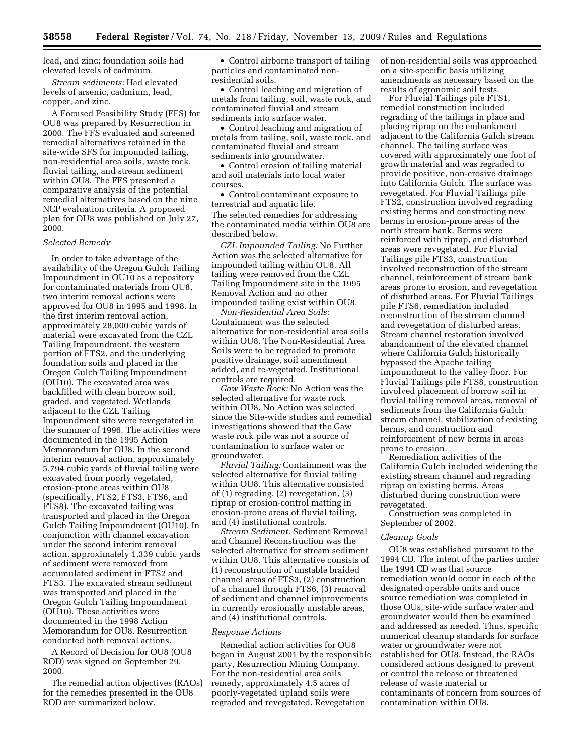lead, and zinc; foundation soils had elevated levels of cadmium.

*Stream sediments:* Had elevated levels of arsenic, cadmium, lead, copper, and zinc.

A Focused Feasibility Study (FFS) for OU8 was prepared by Resurrection in 2000. The FFS evaluated and screened remedial alternatives retained in the site-wide SFS for impounded tailing, non-residential area soils, waste rock, fluvial tailing, and stream sediment within OU8. The FFS presented a comparative analysis of the potential remedial alternatives based on the nine NCP evaluation criteria. A proposed plan for OU8 was published on July 27, 2000.

#### *Selected Remedy*

In order to take advantage of the availability of the Oregon Gulch Tailing Impoundment in OU10 as a repository for contaminated materials from OU8, two interim removal actions were approved for OU8 in 1995 and 1998. In the first interim removal action, approximately 28,000 cubic yards of material were excavated from the CZL Tailing Impoundment, the western portion of FTS2, and the underlying foundation soils and placed in the Oregon Gulch Tailing Impoundment (OU10). The excavated area was backfilled with clean borrow soil, graded, and vegetated. Wetlands adjacent to the CZL Tailing Impoundment site were revegetated in the summer of 1996. The activities were documented in the 1995 Action Memorandum for OU8. In the second interim removal action, approximately 5,794 cubic yards of fluvial tailing were excavated from poorly vegetated, erosion-prone areas within OU8 (specifically, FTS2, FTS3, FTS6, and FTS8). The excavated tailing was transported and placed in the Oregon Gulch Tailing Impoundment (OU10). In conjunction with channel excavation under the second interim removal action, approximately 1,339 cubic yards of sediment were removed from accumulated sediment in FTS2 and FTS3. The excavated stream sediment was transported and placed in the Oregon Gulch Tailing Impoundment (OU10). These activities were documented in the 1998 Action Memorandum for OU8. Resurrection conducted both removal actions.

A Record of Decision for OU8 (OU8 ROD) was signed on September 29, 2000.

The remedial action objectives (RAOs) for the remedies presented in the OU8 ROD are summarized below.

• Control airborne transport of tailing particles and contaminated nonresidential soils.

• Control leaching and migration of metals from tailing, soil, waste rock, and contaminated fluvial and stream sediments into surface water.

• Control leaching and migration of metals from tailing, soil, waste rock, and contaminated fluvial and stream sediments into groundwater.

• Control erosion of tailing material and soil materials into local water courses.

• Control contaminant exposure to terrestrial and aquatic life. The selected remedies for addressing the contaminated media within OU8 are described below.

*CZL Impounded Tailing:* No Further Action was the selected alternative for impounded tailing within OU8. All tailing were removed from the CZL Tailing Impoundment site in the 1995 Removal Action and no other impounded tailing exist within OU8.

*Non-Residential Area Soils:*  Containment was the selected alternative for non-residential area soils within OU8. The Non-Residential Area Soils were to be regraded to promote positive drainage, soil amendment added, and re-vegetated. Institutional controls are required.

*Gaw Waste Rock:* No Action was the selected alternative for waste rock within OU8. No Action was selected since the Site-wide studies and remedial investigations showed that the Gaw waste rock pile was not a source of contamination to surface water or groundwater.

*Fluvial Tailing:* Containment was the selected alternative for fluvial tailing within OU8. This alternative consisted of (1) regrading, (2) revegetation, (3) riprap or erosion-control matting in erosion-prone areas of fluvial tailing, and (4) institutional controls.

*Stream Sediment:* Sediment Removal and Channel Reconstruction was the selected alternative for stream sediment within OU8. This alternative consists of (1) reconstruction of unstable braided channel areas of FTS3, (2) construction of a channel through FTS6, (3) removal of sediment and channel improvements in currently erosionally unstable areas, and (4) institutional controls.

#### *Response Actions*

Remedial action activities for OU8 began in August 2001 by the responsible party, Resurrection Mining Company. For the non-residential area soils remedy, approximately 4.5 acres of poorly-vegetated upland soils were regraded and revegetated. Revegetation

of non-residential soils was approached on a site-specific basis utilizing amendments as necessary based on the results of agronomic soil tests.

For Fluvial Tailings pile FTS1, remedial construction included regrading of the tailings in place and placing riprap on the embankment adjacent to the California Gulch stream channel. The tailing surface was covered with approximately one foot of growth material and was regraded to provide positive, non-erosive drainage into California Gulch. The surface was revegetated. For Fluvial Tailings pile FTS2, construction involved regrading existing berms and constructing new berms in erosion-prone areas of the north stream bank. Berms were reinforced with riprap, and disturbed areas were revegetated. For Fluvial Tailings pile FTS3, construction involved reconstruction of the stream channel, reinforcement of stream bank areas prone to erosion, and revegetation of disturbed areas. For Fluvial Tailings pile FTS6, remediation included reconstruction of the stream channel and revegetation of disturbed areas. Stream channel restoration involved abandonment of the elevated channel where California Gulch historically bypassed the Apache tailing impoundment to the valley floor. For Fluvial Tailings pile FTS8, construction involved placement of borrow soil in fluvial tailing removal areas, removal of sediments from the California Gulch stream channel, stabilization of existing berms, and construction and reinforcement of new berms in areas prone to erosion.

Remediation activities of the California Gulch included widening the existing stream channel and regrading riprap on existing berms. Areas disturbed during construction were revegetated.

Construction was completed in September of 2002.

#### *Cleanup Goals*

OU8 was established pursuant to the 1994 CD. The intent of the parties under the 1994 CD was that source remediation would occur in each of the designated operable units and once source remediation was completed in those OUs, site-wide surface water and groundwater would then be examined and addressed as needed. Thus, specific numerical cleanup standards for surface water or groundwater were not established for OU8. Instead, the RAOs considered actions designed to prevent or control the release or threatened release of waste material or contaminants of concern from sources of contamination within OU8.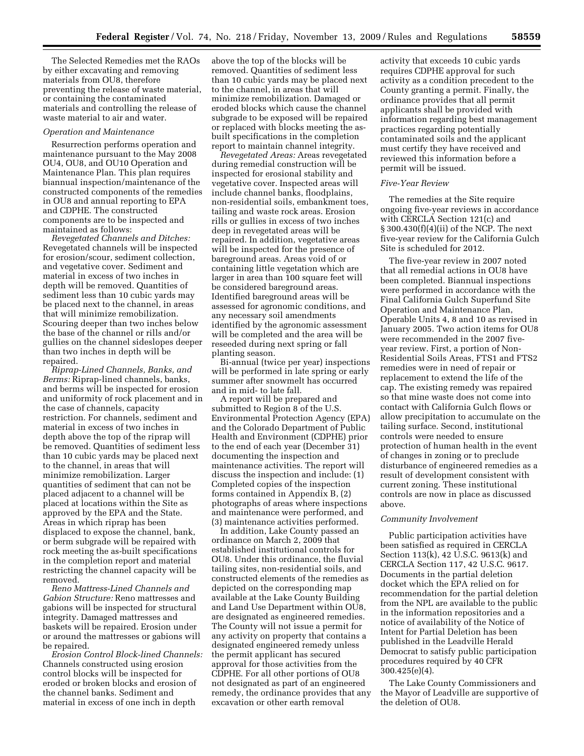The Selected Remedies met the RAOs by either excavating and removing materials from OU8, therefore preventing the release of waste material, or containing the contaminated materials and controlling the release of waste material to air and water.

#### *Operation and Maintenance*

Resurrection performs operation and maintenance pursuant to the May 2008 OU4, OU8, and OU10 Operation and Maintenance Plan. This plan requires biannual inspection/maintenance of the constructed components of the remedies in OU8 and annual reporting to EPA and CDPHE. The constructed components are to be inspected and maintained as follows:

*Revegetated Channels and Ditches:*  Revegetated channels will be inspected for erosion/scour, sediment collection, and vegetative cover. Sediment and material in excess of two inches in depth will be removed. Quantities of sediment less than 10 cubic yards may be placed next to the channel, in areas that will minimize remobilization. Scouring deeper than two inches below the base of the channel or rills and/or gullies on the channel sideslopes deeper than two inches in depth will be repaired.

*Riprap-Lined Channels, Banks, and Berms:* Riprap-lined channels, banks, and berms will be inspected for erosion and uniformity of rock placement and in the case of channels, capacity restriction. For channels, sediment and material in excess of two inches in depth above the top of the riprap will be removed. Quantities of sediment less than 10 cubic yards may be placed next to the channel, in areas that will minimize remobilization. Larger quantities of sediment that can not be placed adjacent to a channel will be placed at locations within the Site as approved by the EPA and the State. Areas in which riprap has been displaced to expose the channel, bank, or berm subgrade will be repaired with rock meeting the as-built specifications in the completion report and material restricting the channel capacity will be removed.

*Reno Mattress-Lined Channels and Gabion Structure:* Reno mattresses and gabions will be inspected for structural integrity. Damaged mattresses and baskets will be repaired. Erosion under or around the mattresses or gabions will be repaired.

*Erosion Control Block-lined Channels:*  Channels constructed using erosion control blocks will be inspected for eroded or broken blocks and erosion of the channel banks. Sediment and material in excess of one inch in depth

above the top of the blocks will be removed. Quantities of sediment less than 10 cubic yards may be placed next to the channel, in areas that will minimize remobilization. Damaged or eroded blocks which cause the channel subgrade to be exposed will be repaired or replaced with blocks meeting the asbuilt specifications in the completion report to maintain channel integrity.

*Revegetated Areas:* Areas revegetated during remedial construction will be inspected for erosional stability and vegetative cover. Inspected areas will include channel banks, floodplains, non-residential soils, embankment toes, tailing and waste rock areas. Erosion rills or gullies in excess of two inches deep in revegetated areas will be repaired. In addition, vegetative areas will be inspected for the presence of bareground areas. Areas void of or containing little vegetation which are larger in area than 100 square feet will be considered bareground areas. Identified bareground areas will be assessed for agronomic conditions, and any necessary soil amendments identified by the agronomic assessment will be completed and the area will be reseeded during next spring or fall planting season.

Bi-annual (twice per year) inspections will be performed in late spring or early summer after snowmelt has occurred and in mid- to late fall.

A report will be prepared and submitted to Region 8 of the U.S. Environmental Protection Agency (EPA) and the Colorado Department of Public Health and Environment (CDPHE) prior to the end of each year (December 31) documenting the inspection and maintenance activities. The report will discuss the inspection and include: (1) Completed copies of the inspection forms contained in Appendix B, (2) photographs of areas where inspections and maintenance were performed, and (3) maintenance activities performed.

In addition, Lake County passed an ordinance on March 2, 2009 that established institutional controls for OU8. Under this ordinance, the fluvial tailing sites, non-residential soils, and constructed elements of the remedies as depicted on the corresponding map available at the Lake County Building and Land Use Department within OU8, are designated as engineered remedies. The County will not issue a permit for any activity on property that contains a designated engineered remedy unless the permit applicant has secured approval for those activities from the CDPHE. For all other portions of OU8 not designated as part of an engineered remedy, the ordinance provides that any excavation or other earth removal

activity that exceeds 10 cubic yards requires CDPHE approval for such activity as a condition precedent to the County granting a permit. Finally, the ordinance provides that all permit applicants shall be provided with information regarding best management practices regarding potentially contaminated soils and the applicant must certify they have received and reviewed this information before a permit will be issued.

#### *Five-Year Review*

The remedies at the Site require ongoing five-year reviews in accordance with CERCLA Section 121(c) and § 300.430(f)(4)(ii) of the NCP. The next five-year review for the California Gulch Site is scheduled for 2012.

The five-year review in 2007 noted that all remedial actions in OU8 have been completed. Biannual inspections were performed in accordance with the Final California Gulch Superfund Site Operation and Maintenance Plan, Operable Units 4, 8 and 10 as revised in January 2005. Two action items for OU8 were recommended in the 2007 fiveyear review. First, a portion of Non-Residential Soils Areas, FTS1 and FTS2 remedies were in need of repair or replacement to extend the life of the cap. The existing remedy was repaired so that mine waste does not come into contact with California Gulch flows or allow precipitation to accumulate on the tailing surface. Second, institutional controls were needed to ensure protection of human health in the event of changes in zoning or to preclude disturbance of engineered remedies as a result of development consistent with current zoning. These institutional controls are now in place as discussed above.

#### *Community Involvement*

Public participation activities have been satisfied as required in CERCLA Section 113(k), 42 U.S.C. 9613(k) and CERCLA Section 117, 42 U.S.C. 9617. Documents in the partial deletion docket which the EPA relied on for recommendation for the partial deletion from the NPL are available to the public in the information repositories and a notice of availability of the Notice of Intent for Partial Deletion has been published in the Leadville Herald Democrat to satisfy public participation procedures required by 40 CFR 300.425(e)(4).

The Lake County Commissioners and the Mayor of Leadville are supportive of the deletion of OU8.